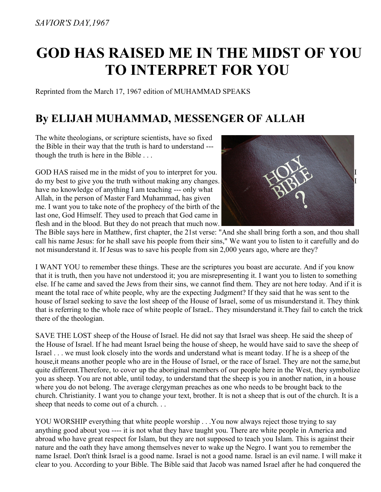## **GOD HAS RAISED ME IN THE MIDST OF YOU TO INTERPRET FOR YOU**

Reprinted from the March 17, 1967 edition of MUHAMMAD SPEAKS

## **By ELIJAH MUHAMMAD, MESSENGER OF ALLAH**

The white theologians, or scripture scientists, have so fixed the Bible in their way that the truth is hard to understand -- though the truth is here in the Bible . . .

GOD HAS raised me in the midst of you to interpret for you. do my best to give you the truth without making any changes. I have no knowledge of anything I am teaching --- only what Allah, in the person of Master Fard Muhammad, has given me. I want you to take note of the prophecy of the birth of the last one, God Himself. They used to preach that God came in flesh and in the blood. But they do not preach that much now.



The Bible says here in Matthew, first chapter, the 21st verse: "And she shall bring forth a son, and thou shall call his name Jesus: for he shall save his people from their sins," We want you to listen to it carefully and do not misunderstand it. If Jesus was to save his people from sin 2,000 years ago, where are they?

I WANT YOU to remember these things. These are the scriptures you boast are accurate. And if you know that it is truth, then you have not understood it; you are misrepresenting it. I want you to listen to something else. If he came and saved the Jews from their sins, we cannot find them. They are not here today. And if it is meant the total race of white people, why are the expecting Judgment? If they said that he was sent to the house of Israel seeking to save the lost sheep of the House of Israel, some of us misunderstand it. They think that is referring to the whole race of white people of IsraeL. They misunderstand it.They fail to catch the trick there of the theologian.

SAVE THE LOST sheep of the House of Israel. He did not say that Israel was sheep. He said the sheep of the House of Israel. If he had meant Israel being the house of sheep, he would have said to save the sheep of Israel . . . we must look closely into the words and understand what is meant today. If he is a sheep of the house,it means another people who are in the House of Israel, or the race of Israel. They are not the same,but quite different. Therefore, to cover up the aboriginal members of our people here in the West, they symbolize you as sheep. You are not able, until today, to understand that the sheep is you in another nation, in a house where you do not belong. The average clergyman preaches as one who needs to be brought back to the church. Christianity. I want you to change your text, brother. It is not a sheep that is out of the church. It is a sheep that needs to come out of a church. . .

YOU WORSHIP everything that white people worship . . .You now always reject those trying to say anything good about you ---- it is not what they have taught you. There are white people in America and abroad who have great respect for Islam, but they are not supposed to teach you Islam. This is against their nature and the oath they have among themselves never to wake up the Negro. I want you to remember the name Israel. Don't think Israel is a good name. Israel is not a good name. Israel is an evil name. I will make it clear to you. According to your Bible. The Bible said that Jacob was named Israel after he had conquered the